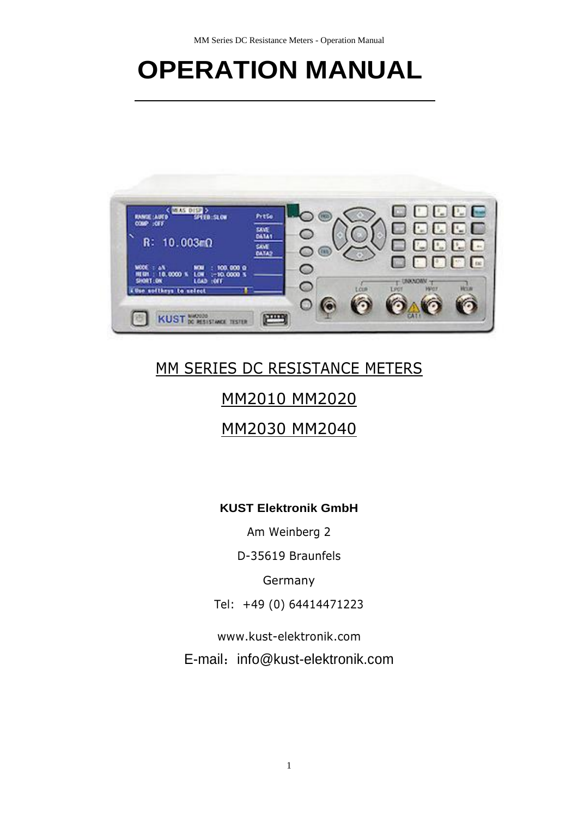# **OPERATION MANUAL**



# MM SERIES DC RESISTANCE METERS

# MM2010 MM2020

# MM2030 MM2040

# **KUST Elektronik GmbH**

Am Weinberg 2

D-35619 Braunfels

Germany

Tel: +49 (0) 64414471223

[www.kust-elektronik.com](http://www.kust-elektronik.com/)

E-mail: [info@kust-elektronik.com](mailto:info@kust-elektronik.com)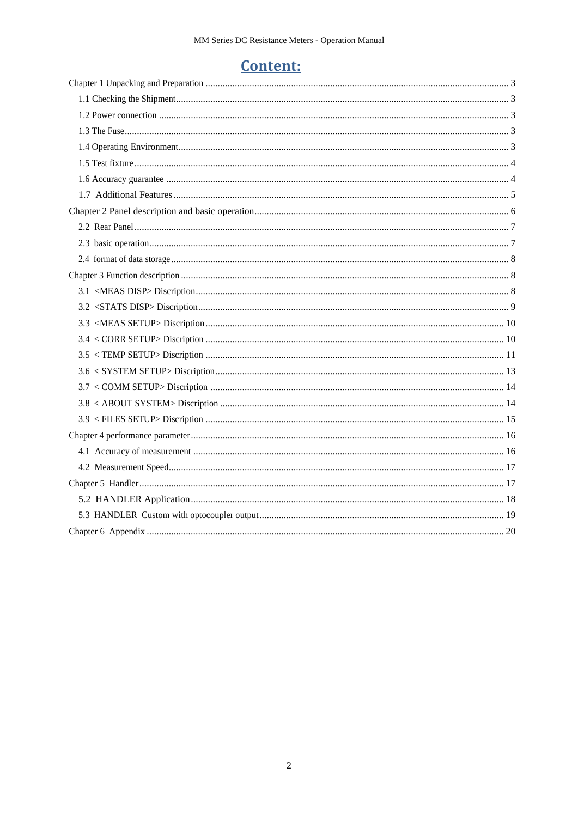# **Content:**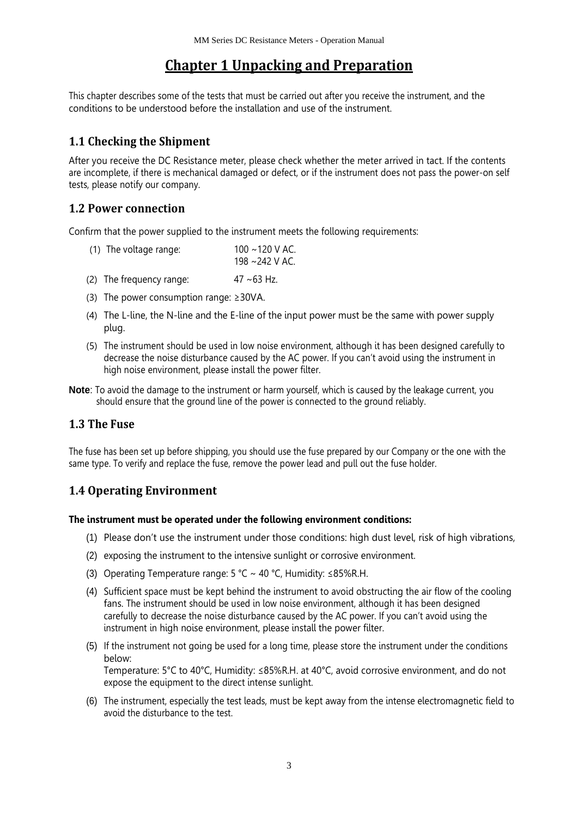# **Chapter 1 Unpacking and Preparation**

<span id="page-2-0"></span>This chapter describes some of the tests that must be carried out after you receive the instrument, and the conditions to be understood before the installation and use of the instrument.

# <span id="page-2-1"></span>**1.1 Checking the Shipment**

After you receive the DC Resistance meter, please check whether the meter arrived in tact. If the contents are incomplete, if there is mechanical damaged or defect, or if the instrument does not pass the power-on self tests, please notify our company.

# <span id="page-2-2"></span>**1.2 Power connection**

Confirm that the power supplied to the instrument meets the following requirements:

| (1) The voltage range: | $100 \sim 120$ V AC. |
|------------------------|----------------------|
|                        | 198 ∼242 V AC.       |

- (2) The frequency range:  $47 \sim 63$  Hz.
- (3) The power consumption range:  $\geq$ 30VA.
- (4) The L-line, the N-line and the E-line of the input power must be the same with power supply plug.
- (5) The instrument should be used in low noise environment, although it has been designed carefully to decrease the noise disturbance caused by the AC power. If you can't avoid using the instrument in high noise environment, please install the power filter.
- **Note**: To avoid the damage to the instrument or harm yourself, which is caused by the leakage current, you should ensure that the ground line of the power is connected to the ground reliably.

### <span id="page-2-3"></span>**1.3 The Fuse**

The fuse has been set up before shipping, you should use the fuse prepared by our Company or the one with the same type. To verify and replace the fuse, remove the power lead and pull out the fuse holder.

# <span id="page-2-4"></span>**1.4 Operating Environment**

#### **The instrument must be operated under the following environment conditions:**

- (1) Please don't use the instrument under those conditions: high dust level, risk of high vibrations,
- (2) exposing the instrument to the intensive sunlight or corrosive environment.
- (3) Operating Temperature range: 5 °C ~ 40 °C, Humidity: ≤85%R.H.
- (4) Sufficient space must be kept behind the instrument to avoid obstructing the air flow of the cooling fans. The instrument should be used in low noise environment, although it has been designed carefully to decrease the noise disturbance caused by the AC power. If you can't avoid using the instrument in high noise environment, please install the power filter.
- (5) If the instrument not going be used for a long time, please store the instrument under the conditions below: Temperature: 5°C to 40°C, Humidity: ≤85%R.H. at 40°C, avoid corrosive environment, and do not expose the equipment to the direct intense sunlight.
- (6) The instrument, especially the test leads, must be kept away from the intense electromagnetic field to avoid the disturbance to the test.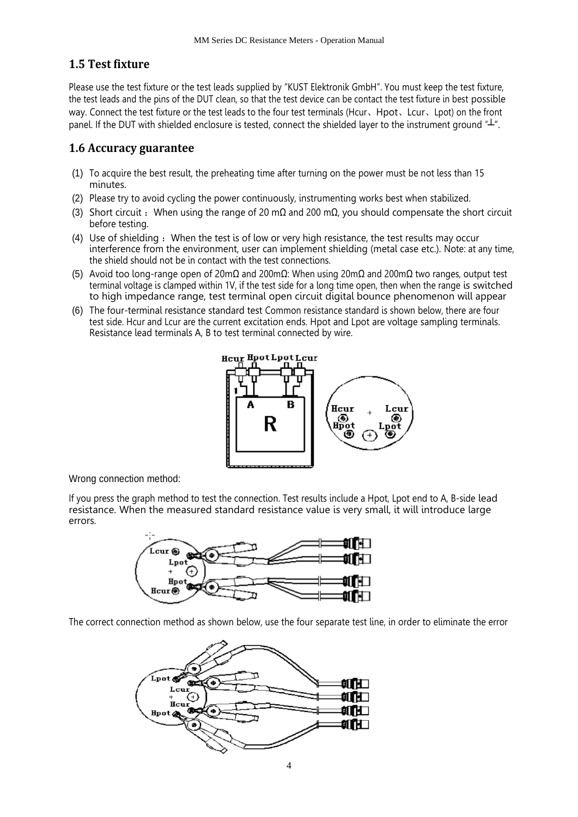#### <span id="page-3-0"></span>**1.5 Test fixture**

Please use the test fixture or the test leads supplied by "KUST Elektronik GmbH". You must keep the test fixture, the test leads and the pins of the DUT clean, so that the test device can be contact the test fixture in best possible way. Connect the test fixture or the test leads to the four test terminals (Hcur、Hpot、Lcur、Lpot) on the front panel. If the DUT with shielded enclosure is tested, connect the shielded layer to the instrument ground "⊥".

#### <span id="page-3-1"></span>**1.6 Accuracy guarantee**

- (1) To acquire the best result, the preheating time after turning on the power must be not less than 15 minutes.
- (2) Please try to avoid cycling the power continuously, instrumenting works best when stabilized.
- (3) Short circuit : When using the range of 20 m $\Omega$  and 200 m $\Omega$ , you should compensate the short circuit before testing.
- (4) Use of shielding : When the test is of low or very high resistance, the test results may occur interference from the environment, user can implement shielding (metal case etc.). Note: at any time, the shield should not be in contact with the test connections.
- (5) Avoid too long-range open of 20mΩ and 200mΩ: When using  $20mΩ$  and  $200mΩ$  two ranges, output test terminal voltage is clamped within 1V, if the test side for a long time open, then when the range is switched to high impedance range, test terminal open circuit digital bounce phenomenon will appear
- (6) The four-terminal resistance standard test Common resistance standard is shown below, there are four test side. Hcur and Lcur are the current excitation ends. Hpot and Lpot are voltage sampling terminals. Resistance lead terminals A, B to test terminal connected by wire.



Wrong connection method:

If you press the graph method to test the connection. Test results include a Hpot, Lpot end to A, B-side lead resistance. When the measured standard resistance value is very small, it will introduce large errors.



The correct connection method as shown below, use the four separate test line, in order to eliminate the error

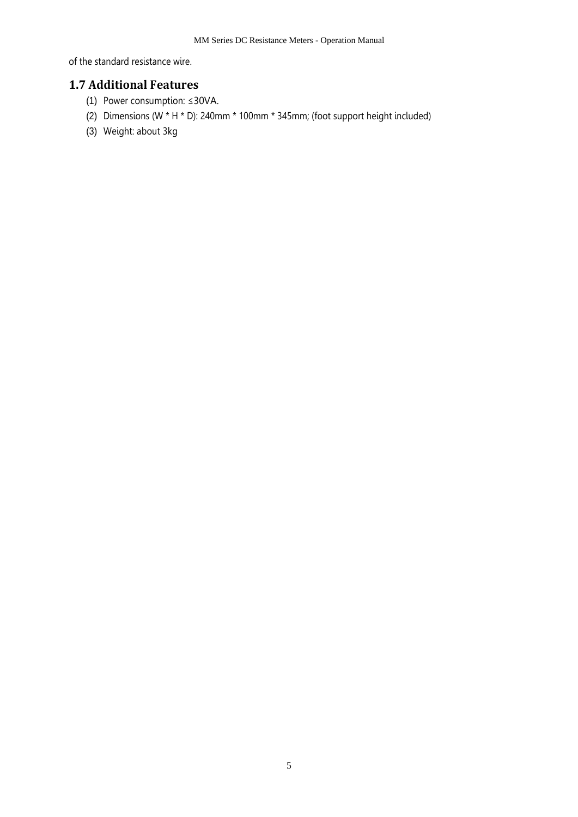of the standard resistance wire.

# <span id="page-4-0"></span>**1.7 Additional Features**

- (1) Power consumption: ≤30VA.
- (2) Dimensions (W \* H \* D): 240mm \* 100mm \* 345mm; (foot support height included)
- <span id="page-4-1"></span>(3) Weight: about 3kg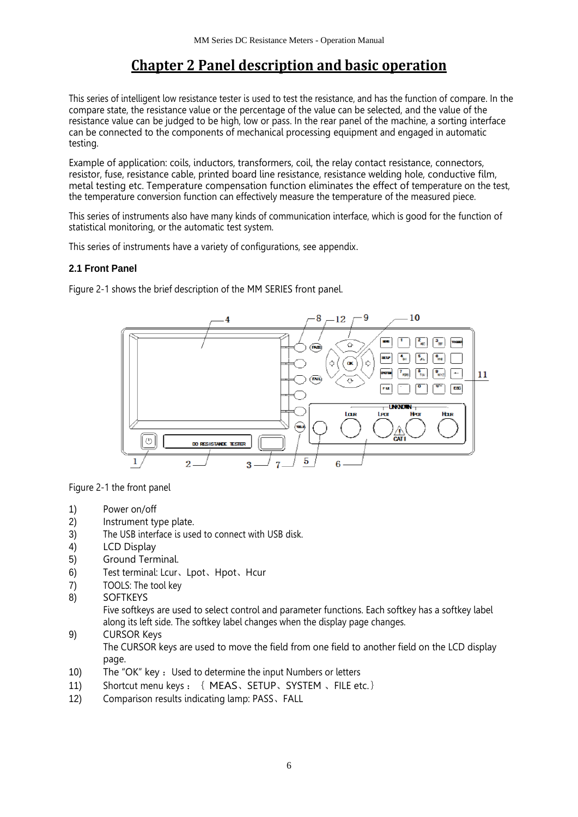# **Chapter 2 Panel description and basic operation**

This series of intelligent low resistance tester is used to test the resistance, and has the function of compare. In the compare state, the resistance value or the percentage of the value can be selected, and the value of the resistance value can be judged to be high, low or pass. In the rear panel of the machine, a sorting interface can be connected to the components of mechanical processing equipment and engaged in automatic testing.

Example of application: coils, inductors, transformers, coil, the relay contact resistance, connectors, resistor, fuse, resistance cable, printed board line resistance, resistance welding hole, conductive film, metal testing etc. Temperature compensation function eliminates the effect of temperature on the test, the temperature conversion function can effectively measure the temperature of the measured piece.

This series of instruments also have many kinds of communication interface, which is good for the function of statistical monitoring, or the automatic test system.

This series of instruments have a variety of configurations, see appendix.

#### **2.1 Front Panel**

Figure 2-1 shows the brief description of the MM SERIES front panel.



Figure 2-1 the front panel

- 1) Power on/off
- 2) Instrument type plate.
- 3) The USB interface is used to connect with USB disk.
- 4) LCD Display
- 5) Ground Terminal.
- 6) Test terminal: Lcur、Lpot、Hpot、Hcur
- 7) TOOLS: The tool key
- 8) SOFTKEYS

Five softkeys are used to select control and parameter functions. Each softkey has a softkey label along its left side. The softkey label changes when the display page changes.

- 9) CURSOR Keys The CURSOR keys are used to move the field from one field to another field on the LCD display page.
- 10) The "OK" key : Used to determine the input Numbers or letters
- 11) Shortcut menu keys : { MEAS, SETUP, SYSTEM, FILE etc.}
- 12) Comparison results indicating lamp: PASS、FALL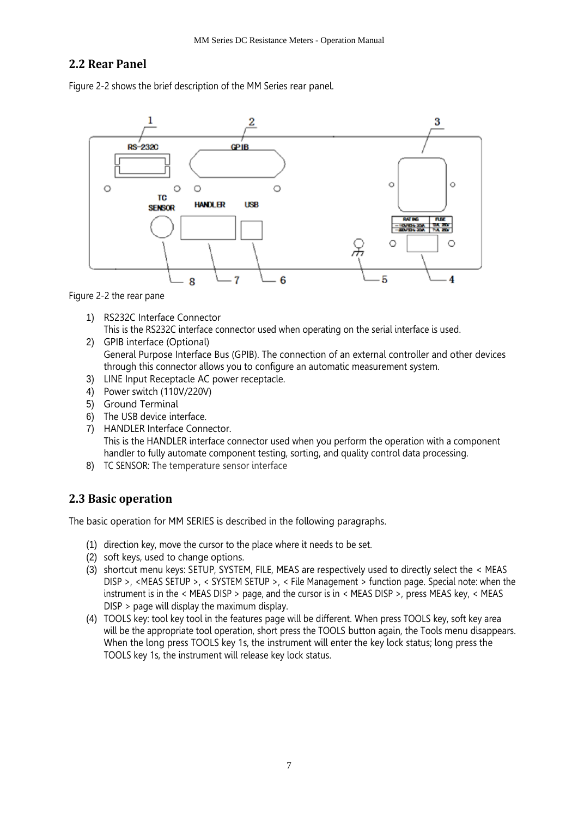### <span id="page-6-0"></span>**2.2 Rear Panel**

Figure 2-2 shows the brief description of the MM Series rear panel.



Figure 2-2 the rear pane

- 1) RS232C Interface Connector This is the RS232C interface connector used when operating on the serial interface is used.
- 2) GPIB interface (Optional) General Purpose Interface Bus (GPIB). The connection of an external controller and other devices through this connector allows you to configure an automatic measurement system.
- 3) LINE Input Receptacle AC power receptacle.
- 4) Power switch (110V/220V)
- 5) Ground Terminal
- 6) The USB device interface.
- 7) HANDLER Interface Connector. This is the HANDLER interface connector used when you perform the operation with a component handler to fully automate component testing, sorting, and quality control data processing.
- 8) TC SENSOR: The temperature sensor interface

### <span id="page-6-1"></span>**2.3 Basic operation**

The basic operation for MM SERIES is described in the following paragraphs.

- (1) direction key, move the cursor to the place where it needs to be set.
- (2) soft keys, used to change options.
- (3) shortcut menu keys: SETUP, SYSTEM, FILE, MEAS are respectively used to directly select the < MEAS DISP >, <MEAS SETUP >, < SYSTEM SETUP >, < File Management > function page. Special note: when the instrument is in the < MEAS DISP > page, and the cursor is in < MEAS DISP >, press MEAS key, < MEAS DISP > page will display the maximum display.
- (4) TOOLS key: tool key tool in the features page will be different. When press TOOLS key, soft key area will be the appropriate tool operation, short press the TOOLS button again, the Tools menu disappears. When the long press TOOLS key 1s, the instrument will enter the key lock status; long press the TOOLS key 1s, the instrument will release key lock status.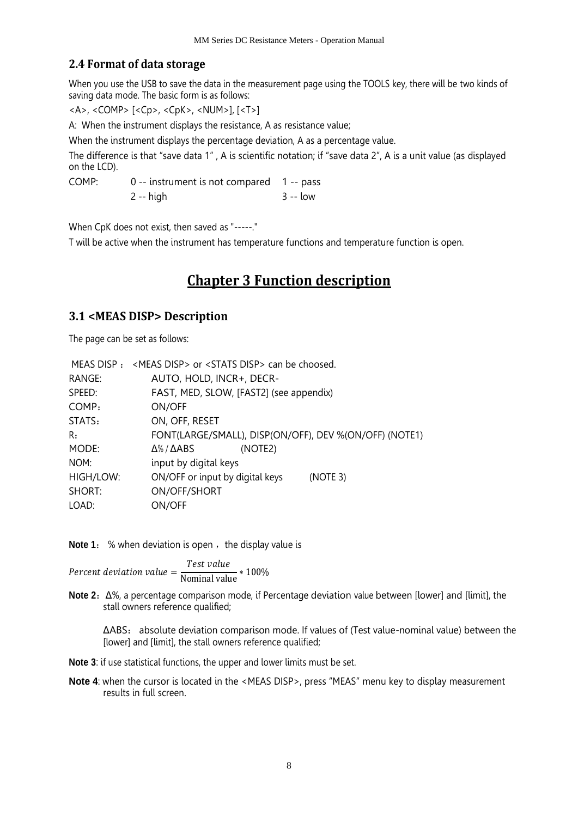# <span id="page-7-0"></span>**2.4 Format of data storage**

When you use the USB to save the data in the measurement page using the TOOLS key, there will be two kinds of saving data mode. The basic form is as follows:

<A>, <COMP> [<Cp>, <CpK>, <NUM>], [<T>]

A: When the instrument displays the resistance, A as resistance value;

When the instrument displays the percentage deviation, A as a percentage value.

The difference is that "save data 1" , A is scientific notation; if "save data 2", A is a unit value (as displayed on the LCD).

COMP: 0 -- instrument is not compared 1 -- pass  $2 - hich$  3 -- low

When CpK does not exist, then saved as "-----."

<span id="page-7-1"></span>T will be active when the instrument has temperature functions and temperature function is open.

# **Chapter 3 Function description**

#### <span id="page-7-2"></span>**3.1 <MEAS DISP> Description**

The page can be set as follows:

|           | MEAS DISP : < MEAS DISP > or < STATS DISP > can be choosed. |
|-----------|-------------------------------------------------------------|
| RANGE:    | AUTO, HOLD, INCR+, DECR-                                    |
| SPEED:    | FAST, MED, SLOW, [FAST2] (see appendix)                     |
| COMP:     | ON/OFF                                                      |
| STATS:    | ON, OFF, RESET                                              |
| R:        | FONT(LARGE/SMALL), DISP(ON/OFF), DEV %(ON/OFF) (NOTE1)      |
| MODE:     | $\Delta\%$ / $\Delta$ ABS<br>(NOTE2)                        |
| NOM:      | input by digital keys                                       |
| HIGH/LOW: | ON/OFF or input by digital keys<br>(NOTE 3)                 |
| SHORT:    | ON/OFF/SHORT                                                |
| LOAD:     | ON/OFF                                                      |
|           |                                                             |

**Note 1:** % when deviation is open, the display value is

Percent deviation value = Test value Nominal value <sup>∗</sup> 100%

**Note 2**:Δ%, a percentage comparison mode, if Percentage deviation value between [lower] and [limit], the stall owners reference qualified;

ΔABS: absolute deviation comparison mode. If values of (Test value-nominal value) between the [lower] and [limit], the stall owners reference qualified;

**Note 3**: if use statistical functions, the upper and lower limits must be set.

<span id="page-7-3"></span>**Note 4:** when the cursor is located in the <MEAS DISP>, press "MEAS" menu key to display measurement results in full screen.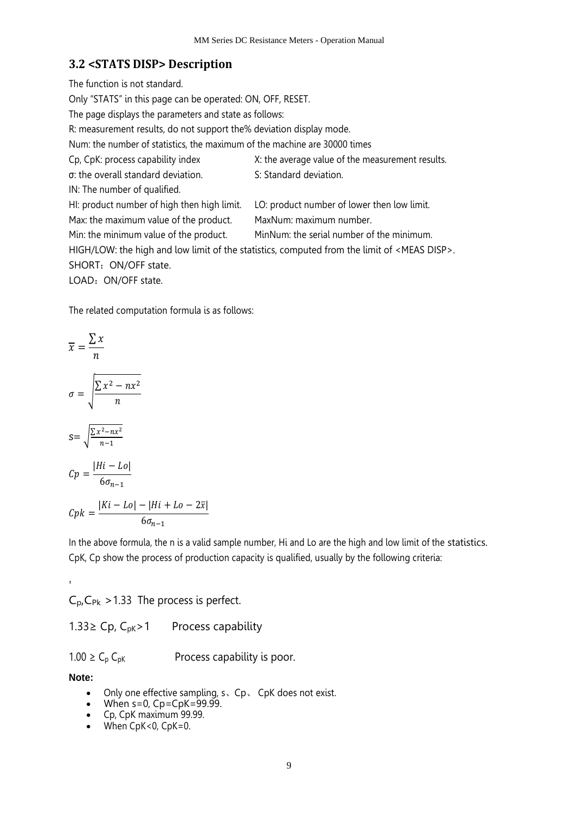# **3.2 <STATS DISP> Description**

The function is not standard. Only "STATS" in this page can be operated: ON, OFF, RESET. The page displays the parameters and state as follows: R: measurement results, do not support the% deviation display mode. Num: the number of statistics, the maximum of the machine are 30000 times Cp, CpK: process capability index X: the average value of the measurement results. σ: the overall standard deviation. S: Standard deviation. IN: The number of qualified. HI: product number of high then high limit. LO: product number of lower then low limit. Max: the maximum value of the product. MaxNum: maximum number. Min: the minimum value of the product. MinNum: the serial number of the minimum. HIGH/LOW: the high and low limit of the statistics, computed from the limit of <MEAS DISP>. SHORT: ON/OFF state. LOAD: ON/OFF state.

The related computation formula is as follows:

$$
\overline{x} = \frac{\sum x}{n}
$$
\n
$$
\sigma = \sqrt{\frac{\sum x^2 - nx^2}{n}}
$$
\n
$$
s = \sqrt{\frac{\sum x^2 - nx^2}{n-1}}
$$
\n
$$
Cp = \frac{|Hi - Lo|}{6\sigma_{n-1}}
$$
\n
$$
Cpk = \frac{|Ki - Lo| - |Hi + Lo|}{6\sigma_{n-1}}
$$

In the above formula, the n is a valid sample number, Hi and Lo are the high and low limit of the statistics. CpK, Cp show the process of production capacity is qualified, usually by the following criteria:

 $C_{p,CPR}$  > 1.33 The process is perfect.

1.33≥ Cp, C<sub>pK</sub>>1 Process capability

 $1.00 \ge C_p C_{pK}$  Process capability is poor.

 $-2\overline{x}$ 

**Note:**

,

- Only one effective sampling, s. Cp. CpK does not exist.
- When  $s=0$ ,  $Cp = CpK = 99.999$ .
- Cp, CpK maximum 99.99.
- When  $CpK < 0$ ,  $CpK=0$ .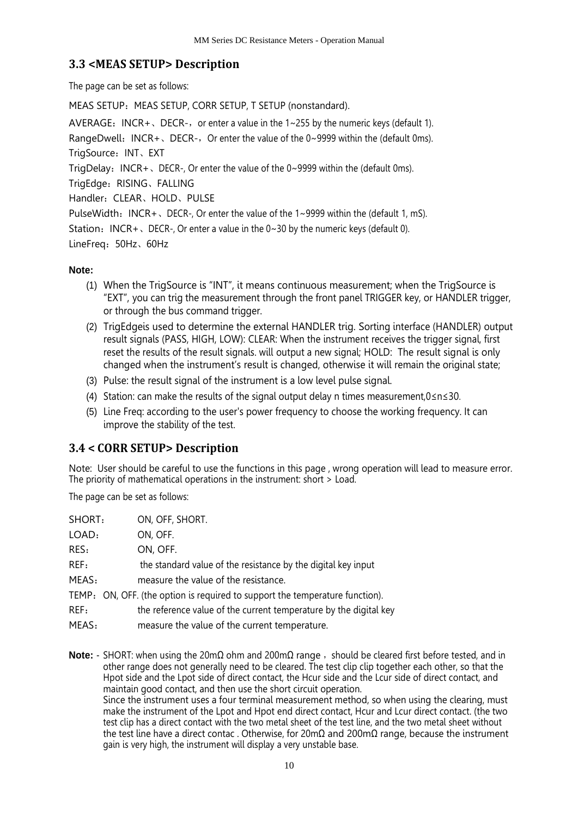# <span id="page-9-0"></span>**3.3 <MEAS SETUP> Description**

The page can be set as follows:

MEAS SETUP: MEAS SETUP, CORR SETUP, T SETUP (nonstandard).

AVERAGE: INCR+, DECR-, or enter a value in the  $1 \sim 255$  by the numeric keys (default 1). RangeDwell: INCR+, DECR-, Or enter the value of the 0~9999 within the (default 0ms). TrigSource: INT、EXT TrigDelay: INCR +  $\sqrt{DECR}$  DECR-, Or enter the value of the 0~9999 within the (default 0ms). TrigEdge: RISING、FALLING Handler:CLEAR、HOLD、PULSE PulseWidth:  $INCR+$ , DECR-, Or enter the value of the 1~9999 within the (default 1, mS). Station:  $INCR+$ , DECR-, Or enter a value in the  $0~30$  by the numeric keys (default 0).

LineFreq:50Hz、60Hz

### **Note:**

- (1) When the TrigSource is "INT", it means continuous measurement; when the TrigSource is "EXT", you can trig the measurement through the front panel TRIGGER key, or HANDLER trigger, or through the bus command trigger.
- (2) TrigEdgeis used to determine the external HANDLER trig. Sorting interface (HANDLER) output result signals (PASS, HIGH, LOW): CLEAR: When the instrument receives the trigger signal, first reset the results of the result signals. will output a new signal; HOLD: The result signal is only changed when the instrument's result is changed, otherwise it will remain the original state;
- (3) Pulse: the result signal of the instrument is a low level pulse signal.
- (4) Station: can make the results of the signal output delay n times measurement,0≤n≤30.
- (5) Line Freq: according to the user's power frequency to choose the working frequency. It can improve the stability of the test.

# <span id="page-9-1"></span>**3.4 < CORR SETUP> Description**

Note: User should be careful to use the functions in this page , wrong operation will lead to measure error. The priority of mathematical operations in the instrument: short > Load.

The page can be set as follows:

| SHORT: | ON, OFF, SHORT.                                                              |
|--------|------------------------------------------------------------------------------|
| LOAD:  | ON, OFF.                                                                     |
| RES:   | ON, OFF.                                                                     |
| REF:   | the standard value of the resistance by the digital key input                |
| MEAS:  | measure the value of the resistance.                                         |
|        | TEMP: ON, OFF. (the option is required to support the temperature function). |
| REF:   | the reference value of the current temperature by the digital key            |
| MEAS:  | measure the value of the current temperature.                                |

**Note:** - SHORT: when using the 20mΩ ohm and 200mΩ range, should be cleared first before tested, and in other range does not generally need to be cleared. The test clip clip together each other, so that the Hpot side and the Lpot side of direct contact, the Hcur side and the Lcur side of direct contact, and maintain good contact, and then use the short circuit operation. Since the instrument uses a four terminal measurement method, so when using the clearing, must make the instrument of the Lpot and Hpot end direct contact, Hcur and Lcur direct contact. (the two test clip has a direct contact with the two metal sheet of the test line, and the two metal sheet without the test line have a direct contac . Otherwise, for 20mΩ and 200mΩ range, because the instrument gain is very high, the instrument will display a very unstable base.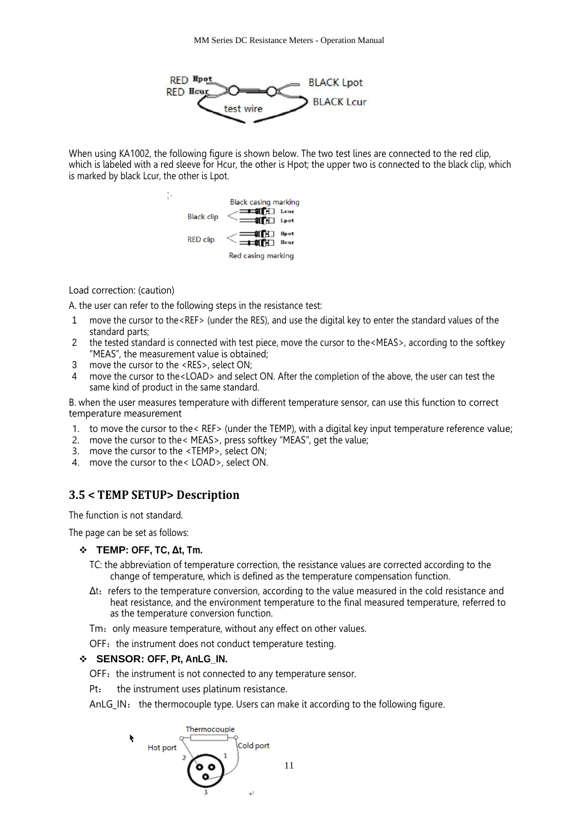

When using KA1002, the following figure is shown below. The two test lines are connected to the red clip, which is labeled with a red sleeve for Hcur, the other is Hpot; the upper two is connected to the black clip, which is marked by black Lcur, the other is Lpot.



#### Load correction: (caution)

A. the user can refer to the following steps in the resistance test:

- 1 move the cursor to the<REF> (under the RES), and use the digital key to enter the standard values of the standard parts;
- 2 the tested standard is connected with test piece, move the cursor to the <MEAS>, according to the softkey "MEAS", the measurement value is obtained;
- 3 move the cursor to the <RES>, select ON;
- 4 move the cursor to the<LOAD> and select ON. After the completion of the above, the user can test the same kind of product in the same standard.

B. when the user measures temperature with different temperature sensor, can use this function to correct temperature measurement

- 1. to move the cursor to the< REF> (under the TEMP), with a digital key input temperature reference value;
- 2. move the cursor to the< MEAS>, press softkey "MEAS", get the value;
- 3. move the cursor to the <TEMP>, select ON;
- 4. move the cursor to the< LOAD>, select ON.

# <span id="page-10-0"></span>**3.5 < TEMP SETUP> Description**

The function is not standard.

The page can be set as follows:

#### ❖ **TEMP: OFF, TC, Δt, Tm.**

- TC: the abbreviation of temperature correction, the resistance values are corrected according to the change of temperature, which is defined as the temperature compensation function.
- $\Delta t$ : refers to the temperature conversion, according to the value measured in the cold resistance and heat resistance, and the environment temperature to the final measured temperature, referred to as the temperature conversion function.
- Tm: only measure temperature, without any effect on other values.
- OFF: the instrument does not conduct temperature testing.

#### ❖ **SENSOR: OFF, Pt, AnLG\_IN.**

OFF: the instrument is not connected to any temperature sensor.

Pt: the instrument uses platinum resistance.

AnLG\_IN: the thermocouple type. Users can make it according to the following figure.

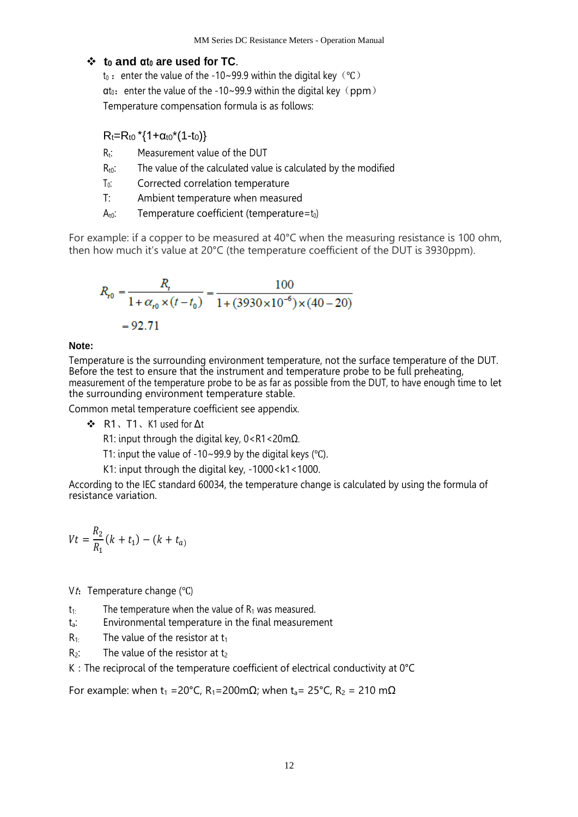### ❖ **t<sup>0</sup> and αt<sup>0</sup> are used for TC**.

t<sub>0</sub> : enter the value of the -10~99.9 within the digital key (℃)  $\alpha t_0$ : enter the value of the -10~99.9 within the digital key (ppm) Temperature compensation formula is as follows:

 $R_t=R_{t0}$  \*{1+ $\alpha_{t0}$ \*(1-t<sub>0</sub>)}

- $R_t$ : Measurement value of the DUT
- $R_{t0}$ : The value of the calculated value is calculated by the modified
- T<sub>0</sub>: Corrected correlation temperature
- T: Ambient temperature when measured
- $A_{t0}$ : Temperature coefficient (temperature= $t_0$ )

For example: if a copper to be measured at 40°C when the measuring resistance is 100 ohm, then how much it's value at 20°C (the temperature coefficient of the DUT is 3930ppm).

$$
R_{r0} = \frac{R_{r}}{1 + \alpha_{r0} \times (t - t_0)} = \frac{100}{1 + (3930 \times 10^{-6}) \times (40 - 20)}
$$
  
= 92.71

#### **Note:**

Temperature is the surrounding environment temperature, not the surface temperature of the DUT. Before the test to ensure that the instrument and temperature probe to be full preheating, measurement of the temperature probe to be as far as possible from the DUT, to have enough time to let the surrounding environment temperature stable.

Common metal temperature coefficient see appendix.

❖ R1、T1、K1 used for Δt

R1: input through the digital key, 0<R1<20mΩ.

T1: input the value of -10~99.9 by the digital keys  $°C$ ).

K1: input through the digital key, -1000<k1<1000.

According to the IEC standard 60034, the temperature change is calculated by using the formula of resistance variation.

$$
Vt = \frac{R_2}{R_1}(k + t_1) - (k + t_a)
$$

Vt: Temperature change ( $°C$ )

- $t_{1:}$  The temperature when the value of  $R_1$  was measured.
- ta: Environmental temperature in the final measurement
- $R_1$ : The value of the resistor at t<sub>1</sub>
- $R_2$ : The value of the resistor at t<sub>2</sub>
- K: The reciprocal of the temperature coefficient of electrical conductivity at 0°C

For example: when t<sub>1</sub> = 20°C, R<sub>1</sub>=200mΩ; when t<sub>a</sub>= 25°C, R<sub>2</sub> = 210 mΩ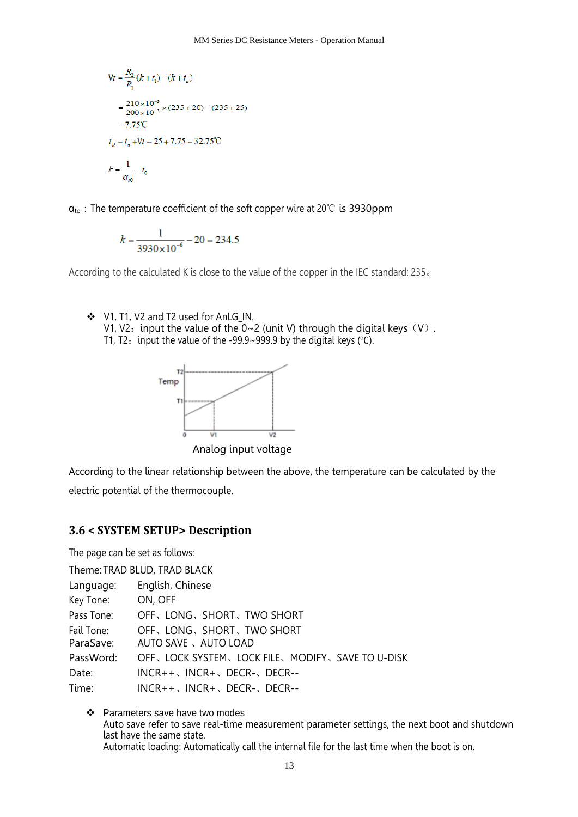$$
Vt = \frac{R_2}{R_1}(k + t_1) - (k + t_a)
$$
  
=  $\frac{210 \times 10^{-3}}{200 \times 10^{-3}} \times (235 + 20) - (235 + 25)$   
= 7.75°C  
 $t_R = t_a + Vt = 25 + 7.75 = 32.75$ °C  
 $k = \frac{1}{\alpha_{r0}} - t_0$ 

 $\alpha_{\text{to}}$ : The temperature coefficient of the soft copper wire at 20℃ is 3930ppm

$$
k = \frac{1}{3930 \times 10^{-6}} - 20 = 234.5
$$

According to the calculated K is close to the value of the copper in the IEC standard: 235。

❖ V1, T1, V2 and T2 used for AnLG\_IN. V1, V2: input the value of the  $0~2$  (unit V) through the digital keys (V). T1, T2: input the value of the -99.9~999.9 by the digital keys ( $°C$ ).



Analog input voltage

According to the linear relationship between the above, the temperature can be calculated by the electric potential of the thermocouple.

### <span id="page-12-0"></span>**3.6 < SYSTEM SETUP> Description**

The page can be set as follows:

|                   | Theme: TRAD BLUD, TRAD BLACK                        |  |  |  |  |
|-------------------|-----------------------------------------------------|--|--|--|--|
| Language:         | English, Chinese                                    |  |  |  |  |
| Key Tone: ON, OFF |                                                     |  |  |  |  |
| Pass Tone:        | OFF, LONG, SHORT, TWO SHORT                         |  |  |  |  |
| Fail Tone:        | OFF, LONG, SHORT, TWO SHORT                         |  |  |  |  |
| ParaSave:         | AUTO SAVE 、AUTO LOAD                                |  |  |  |  |
| PassWord:         | OFF, LOCK SYSTEM, LOCK FILE, MODIFY, SAVE TO U-DISK |  |  |  |  |
| Date:             | $INCR++$ , $INCR+$ , $DECR-$ , $DECR--$             |  |  |  |  |
| Time:             | $INCR++$ , $INCR+$ , $DECR-$ , $DECR--$             |  |  |  |  |

❖ Parameters save have two modes Auto save refer to save real-time measurement parameter settings, the next boot and shutdown last have the same state. Automatic loading: Automatically call the internal file for the last time when the boot is on.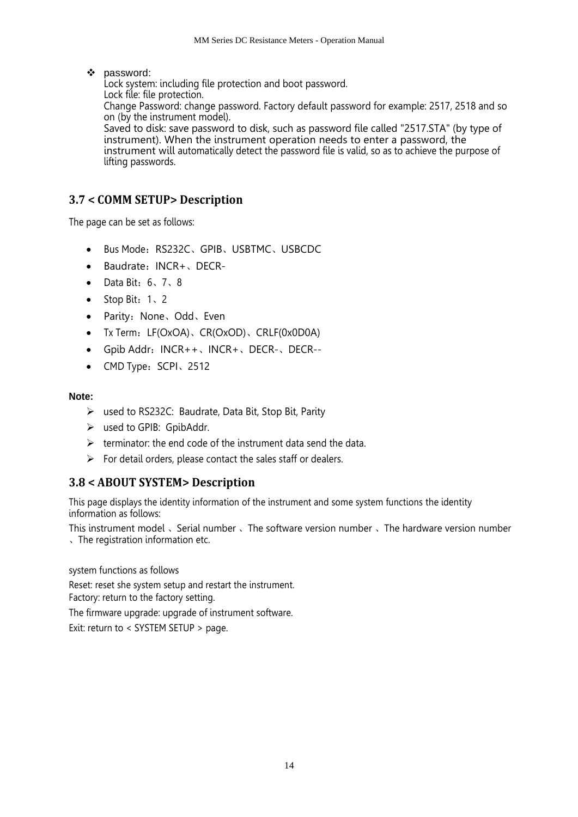#### ❖ password:

Lock system: including file protection and boot password. Lock file: file protection. Change Password: change password. Factory default password for example: 2517, 2518 and so on (by the instrument model). Saved to disk: save password to disk, such as password file called "2517.STA" (by type of instrument). When the instrument operation needs to enter a password, the instrument will automatically detect the password file is valid, so as to achieve the purpose of lifting passwords.

# <span id="page-13-0"></span>**3.7 < COMM SETUP> Description**

The page can be set as follows:

- Bus Mode: RS232C、GPIB、USBTMC、USBCDC
- Baudrate:INCR+、DECR-
- Data Bit:6、7、8
- Stop Bit: 1、2
- Parity: None、Odd、Even
- Tx Term: LF(OxOA)、CR(OxOD)、CRLF(0x0D0A)
- Gpib Addr: INCR++、INCR+、DECR-、DECR--
- CMD Type: SCPI、2512

#### **Note:**

- ➢ used to RS232C: Baudrate, Data Bit, Stop Bit, Parity
- $\triangleright$  used to GPIB: GpibAddr.
- $\triangleright$  terminator: the end code of the instrument data send the data.
- $\triangleright$  For detail orders, please contact the sales staff or dealers.

### <span id="page-13-1"></span>**3.8 < ABOUT SYSTEM> Description**

This page displays the identity information of the instrument and some system functions the identity information as follows:

This instrument model 、Serial number 、The software version number 、The hardware version number 、The registration information etc.

system functions as follows

Reset: reset she system setup and restart the instrument. Factory: return to the factory setting.

The firmware upgrade: upgrade of instrument software.

Exit: return to < SYSTEM SETUP > page.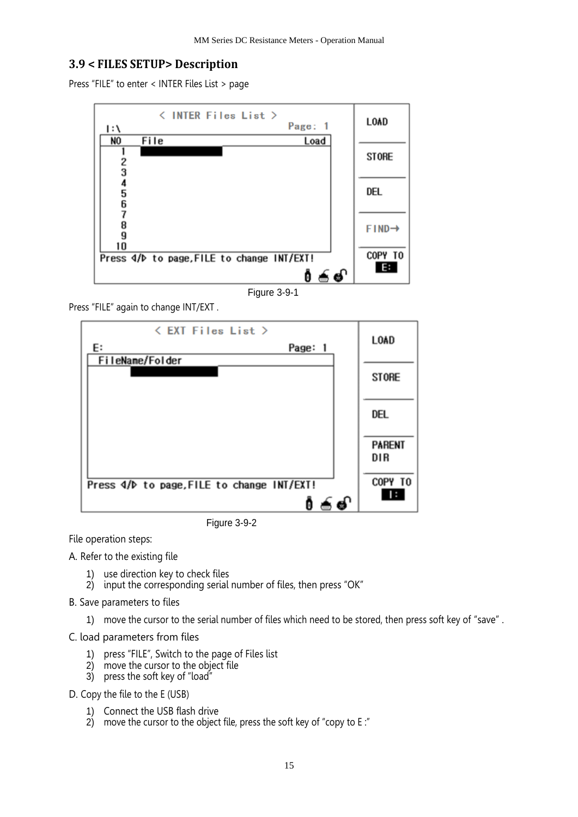#### <span id="page-14-0"></span>**3.9 < FILES SETUP> Description**

Press "FILE" to enter < INTER Files List > page



Figure 3-9-1

Press "FILE" again to change INT/EXT .



Figure 3-9-2

File operation steps:

A. Refer to the existing file

- 1) use direction key to check files
- 2) input the corresponding serial number of files, then press "OK"
- B. Save parameters to files
	- 1) move the cursor to the serial number of files which need to be stored, then press soft key of "save" .

C. load parameters from files

- 1) press "FILE", Switch to the page of Files list
- 2) move the cursor to the object file
- 3) press the soft key of "load"

D. Copy the file to the E (USB)

- 1) Connect the USB flash drive
- 2) move the cursor to the object file, press the soft key of "copy to E:"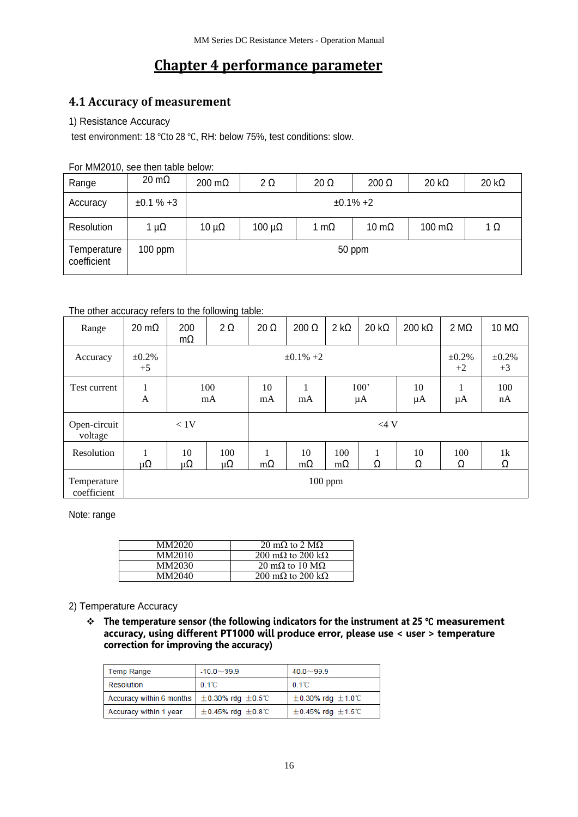# **Chapter 4 performance parameter**

# <span id="page-15-1"></span><span id="page-15-0"></span>**4.1 Accuracy of measurement**

#### 1) Resistance Accuracy

test environment: 18 ℃to 28 ℃, RH: below 75%, test conditions: slow.

For MM2010, see then table below:

| Range                      | $20 \text{ m}\Omega$ | $200 \text{ m}\Omega$ | $2\Omega$       | $20 \Omega$  | $200 \Omega$  | $20 \text{ k}\Omega$ | $20 k\Omega$ |
|----------------------------|----------------------|-----------------------|-----------------|--------------|---------------|----------------------|--------------|
| Accuracy                   | $±0.1 \% +3$         | $±0.1\% +2$           |                 |              |               |                      |              |
| Resolution                 | 1 $\mu\Omega$        | 10 $\mu\Omega$        | $100 \mu\Omega$ | 1 m $\Omega$ | 10 m $\Omega$ | 100 $m\Omega$        | $1 \Omega$   |
| Temperature<br>coefficient | $100$ ppm            | 50 ppm                |                 |              |               |                      |              |

#### The other accuracy refers to the following table:

| Range                      | $20 \text{ m}\Omega$ | 200<br>mΩ   | $2\Omega$                                                  | $20 \Omega$    | $200 \Omega$    | $2 k\Omega$      | $20 k\Omega$            | $200 k\Omega$       | $2 M\Omega$         | 10 $M\Omega$ |
|----------------------------|----------------------|-------------|------------------------------------------------------------|----------------|-----------------|------------------|-------------------------|---------------------|---------------------|--------------|
| Accuracy                   | $\pm 0.2\%$<br>$+5$  |             | $\pm 0.1\% + 2$                                            |                |                 |                  |                         | $\pm 0.2\%$<br>$+2$ | $\pm 0.2\%$<br>$+3$ |              |
| Test current               | 1<br>$\overline{A}$  |             | 100'<br>100<br>10<br>10<br>mA<br>$\mu A$<br>μA<br>mA<br>mA |                |                 | μA               | 100<br>nA               |                     |                     |              |
| Open-circuit<br>voltage    |                      | < 1V        |                                                            |                | $<$ 4 V         |                  |                         |                     |                     |              |
| Resolution                 | $\mu\Omega$          | 10<br>μ $Ω$ | 100<br>μ $Ω$                                               | 1<br>$m\Omega$ | 10<br>$m\Omega$ | 100<br>$m\Omega$ | $\mathbf{1}$<br>-1<br>Ω | 10<br>Ω             | 100<br>Ω            | 1k<br>Ω      |
| Temperature<br>coefficient | $100$ ppm            |             |                                                            |                |                 |                  |                         |                     |                     |              |

Note: range

| MM2020 | 20 m $\Omega$ to 2 M $\Omega$           |
|--------|-----------------------------------------|
| MM2010 | 200 m $\Omega$ to 200 k $\Omega$        |
| MM2030 | $20 \text{ mA}$ to $10 \text{ M}\Omega$ |
| MM2040 | 200 m $\Omega$ to 200 k $\Omega$        |

#### 2) Temperature Accuracy

❖ **The temperature sensor (the following indicators for the instrument at 25** ℃ **measurement accuracy, using different PT1000 will produce error, please use < user > temperature correction for improving the accuracy)**

| <b>Temp Range</b>        | $-10.0 - 39.9$              | $40.0 \sim 99.9$            |  |
|--------------------------|-----------------------------|-----------------------------|--|
| <b>Resolution</b>        | $0.1^{\circ}$ C             | $0.1^{\circ}$ C             |  |
| Accuracy within 6 months | $\pm$ 0.30% rdg $\pm$ 0.5°C | $\pm$ 0.30% rdg $\pm$ 1.0°C |  |
| Accuracy within 1 year   | $\pm$ 0.45% rdg $\pm$ 0.8°C | $\pm$ 0.45% rdg $\pm$ 1.5°C |  |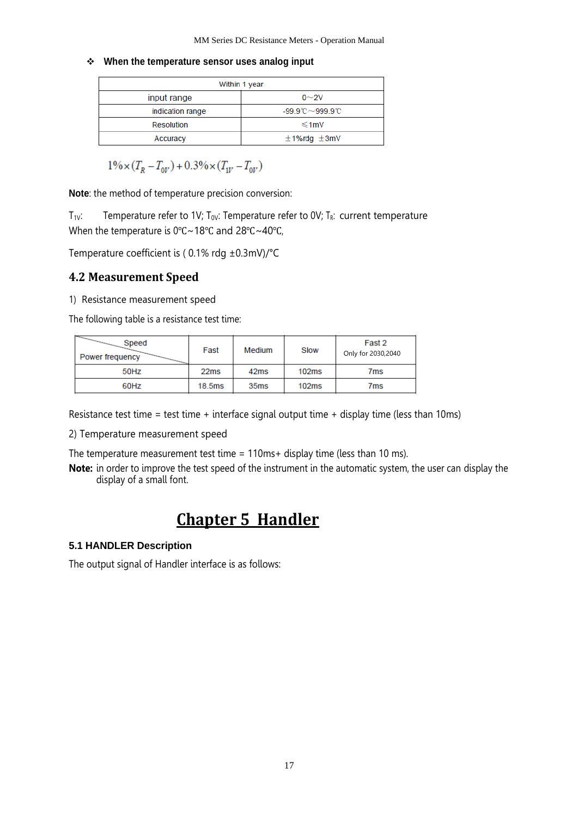#### ❖ **When the temperature sensor uses analog input**

| Within 1 year    |                                             |  |  |  |
|------------------|---------------------------------------------|--|--|--|
| input range      | $0\sim$ 2V                                  |  |  |  |
| indication range | $-99.9^{\circ}$ C $\sim$ 999.9 $^{\circ}$ C |  |  |  |
| Resolution       | $≤1$ mV                                     |  |  |  |
| Accuracy         | $±1%$ rdg $±3mV$                            |  |  |  |

 $1\% \times (T_R - T_{0V}) + 0.3\% \times (T_{1V} - T_{0V})$ 

**Note**: the method of temperature precision conversion:

 $T_{1V}$ : Temperature refer to 1V; T<sub>0V</sub>: Temperature refer to 0V; T<sub>R</sub>: current temperature When the temperature is 0℃~18℃ and 28℃~40℃,

Temperature coefficient is ( 0.1% rdg ±0.3mV)/°C

### <span id="page-16-0"></span>**4.2 Measurement Speed**

1) Resistance measurement speed

The following table is a resistance test time:

| $\overline{\phantom{m}}$<br>Speed<br>Power frequency | Fast   | Medium           | Slow  | Fast 2<br>Only for 2030,2040 |
|------------------------------------------------------|--------|------------------|-------|------------------------------|
| 50Hz                                                 | 22ms   | 42 <sub>ms</sub> | 102ms | 7ms                          |
| 60Hz                                                 | 18.5ms | 35 <sub>ms</sub> | 102ms | 7ms                          |

Resistance test time = test time + interface signal output time + display time (less than 10ms)

2) Temperature measurement speed

The temperature measurement test time = 110ms+ display time (less than 10 ms).

<span id="page-16-1"></span>**Note:** in order to improve the test speed of the instrument in the automatic system, the user can display the display of a small font.

# **Chapter 5 Handler**

#### **5.1 HANDLER Description**

The output signal of Handler interface is as follows: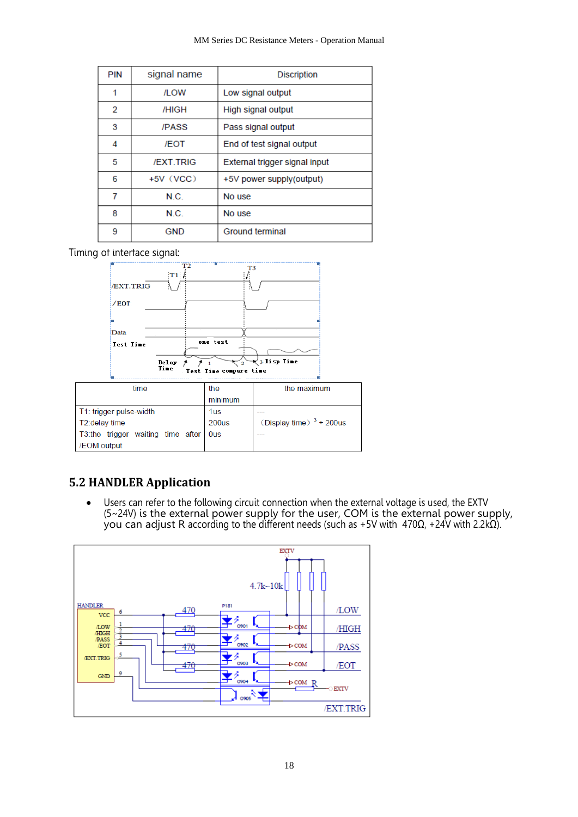| <b>PIN</b> | signal name      | <b>Discription</b>            |
|------------|------------------|-------------------------------|
| 1          | <b>/LOW</b>      | Low signal output             |
| 2          | /HIGH            | High signal output            |
| 3          | /PASS            | Pass signal output            |
| 4          | /EOT             | End of test signal output     |
| 5          | <b>/EXT.TRIG</b> | External trigger signal input |
| 6          | $+5V$ (VCC)      | +5V power supply(output)      |
| 7          | N.C.             | No use                        |
| 8          | N C.             | No use                        |
| 9          | <b>GND</b>       | Ground terminal               |

#### Timing of interface signal:



### <span id="page-17-0"></span>**5.2 HANDLER Application**

• Users can refer to the following circuit connection when the external voltage is used, the EXTV (5~24V) is the external power supply for the user, COM is the external power supply, you can adjust R according to the different needs (such as +5V with 470Ω, +24V with 2.2kΩ).

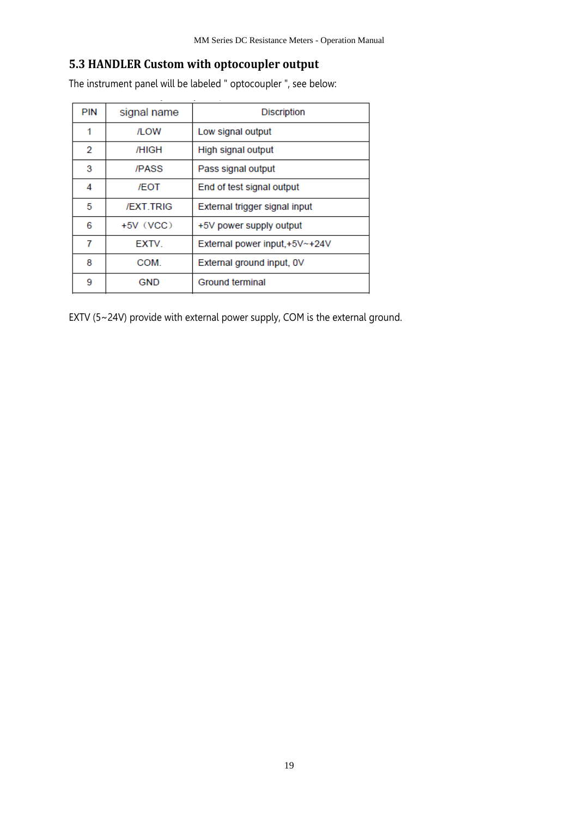# <span id="page-18-0"></span>**5.3 HANDLER Custom with optocoupler output**

The instrument panel will be labeled " optocoupler ", see below:

| <b>PIN</b> | signal name      | <b>Discription</b>            |  |
|------------|------------------|-------------------------------|--|
| 1          | /LOW             | Low signal output             |  |
| 2          | /HIGH            | High signal output            |  |
| 3          | /PASS            | Pass signal output            |  |
| 4          | /FOT             | End of test signal output     |  |
| 5          | <b>/EXT.TRIG</b> | External trigger signal input |  |
| 6          | $+5V$ (VCC)      | +5V power supply output       |  |
| 7          | <b>EXTV</b>      | External power input,+5V~+24V |  |
| 8          | COM.             | External ground input, OV     |  |
| 9          | GND              | Ground terminal               |  |

EXTV (5~24V) provide with external power supply, COM is the external ground.